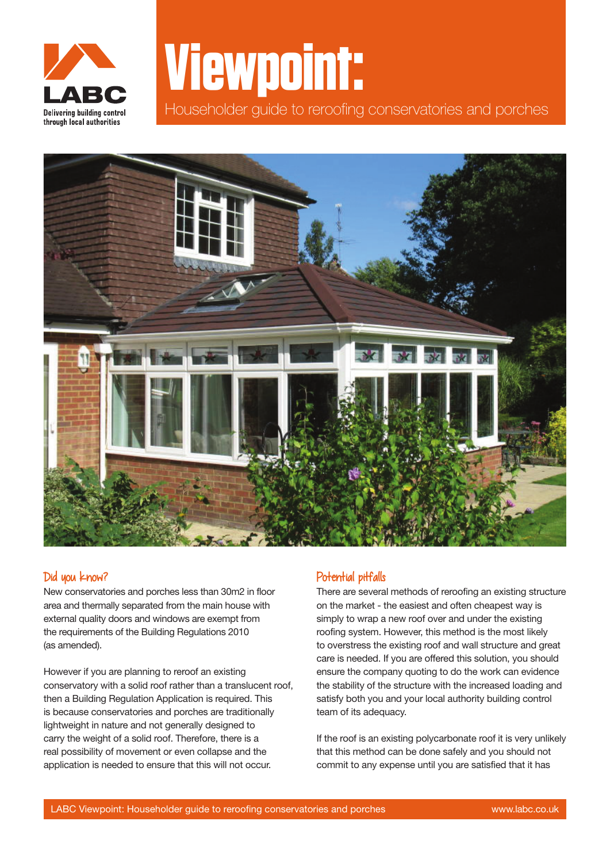

## **Viewpoint:**

Householder guide to reroofing conservatories and porches



## Did you know?

New conservatories and porches less than 30m2 in floor area and thermally separated from the main house with external quality doors and windows are exempt from the requirements of the Building Regulations 2010 (as amended).

However if you are planning to reroof an existing conservatory with a solid roof rather than a translucent roof, then a Building Regulation Application is required. This is because conservatories and porches are traditionally lightweight in nature and not generally designed to carry the weight of a solid roof. Therefore, there is a real possibility of movement or even collapse and the application is needed to ensure that this will not occur.

## Potential pitfalls

There are several methods of reroofing an existing structure on the market - the easiest and often cheapest way is simply to wrap a new roof over and under the existing roofing system. However, this method is the most likely to overstress the existing roof and wall structure and great care is needed. If you are offered this solution, you should ensure the company quoting to do the work can evidence the stability of the structure with the increased loading and satisfy both you and your local authority building control team of its adequacy.

If the roof is an existing polycarbonate roof it is very unlikely that this method can be done safely and you should not commit to any expense until you are satisfied that it has